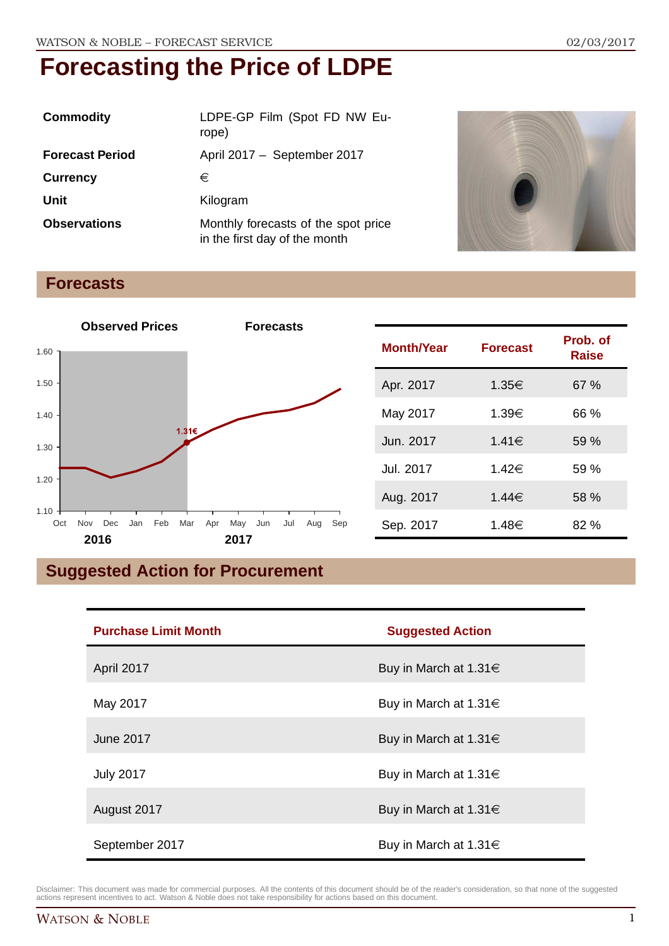| <b>Commodity</b>       | LDPE-GP Film (Spot FD NW Eu-<br>rope)                                |  |
|------------------------|----------------------------------------------------------------------|--|
| <b>Forecast Period</b> | April 2017 - September 2017                                          |  |
| <b>Currency</b>        | €                                                                    |  |
| Unit                   | Kilogram                                                             |  |
| <b>Observations</b>    | Monthly forecasts of the spot price<br>in the first day of the month |  |



### **Forecasts**



| <b>Month/Year</b> | <b>Forecast</b> | Prob. of<br><b>Raise</b> |
|-------------------|-----------------|--------------------------|
| Apr. 2017         | 1.35€           | 67%                      |
| May 2017          | 1.39€           | 66 %                     |
| Jun. 2017         | 1.41€           | 59 %                     |
| Jul. 2017         | 1.42€           | 59 %                     |
| Aug. 2017         | 1.44€           | 58 %                     |
| Sep. 2017         | 1.48€           | 82%                      |

## **Suggested Action for Procurement**

| <b>Purchase Limit Month</b> | <b>Suggested Action</b>    |  |
|-----------------------------|----------------------------|--|
| April 2017                  | Buy in March at 1.31 $\in$ |  |
| May 2017                    | Buy in March at 1.31 $\in$ |  |
| June 2017                   | Buy in March at 1.31 $\in$ |  |
| <b>July 2017</b>            | Buy in March at 1.31 $\in$ |  |
| August 2017                 | Buy in March at 1.31 $\in$ |  |
| September 2017              | Buy in March at 1.31 $\in$ |  |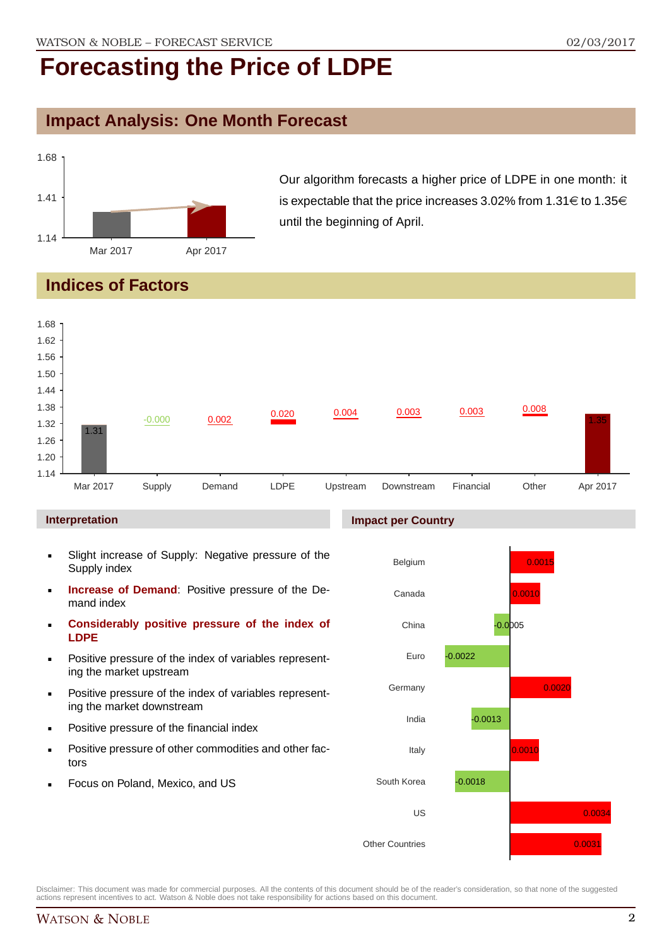## **Impact Analysis: One Month Forecast**



Our algorithm forecasts a higher price of LDPE in one month: it is expectable that the price increases 3.02% from  $1.31 \text{ } \in$  to  $1.35 \text{ } \in$ until the beginning of April.

## **Indices of Factors**



#### **Interpretation**

- **Slight increase of Supply: Negative pressure of the** Supply index
- **Increase of Demand**: Positive pressure of the Demand index
- **Considerably positive pressure of the index of LDPE**
- Positive pressure of the index of variables representing the market upstream
- Positive pressure of the index of variables representing the market downstream
- Positive pressure of the financial index
- Positive pressure of other commodities and other factors
- Focus on Poland, Mexico, and US

#### **Impact per Country**

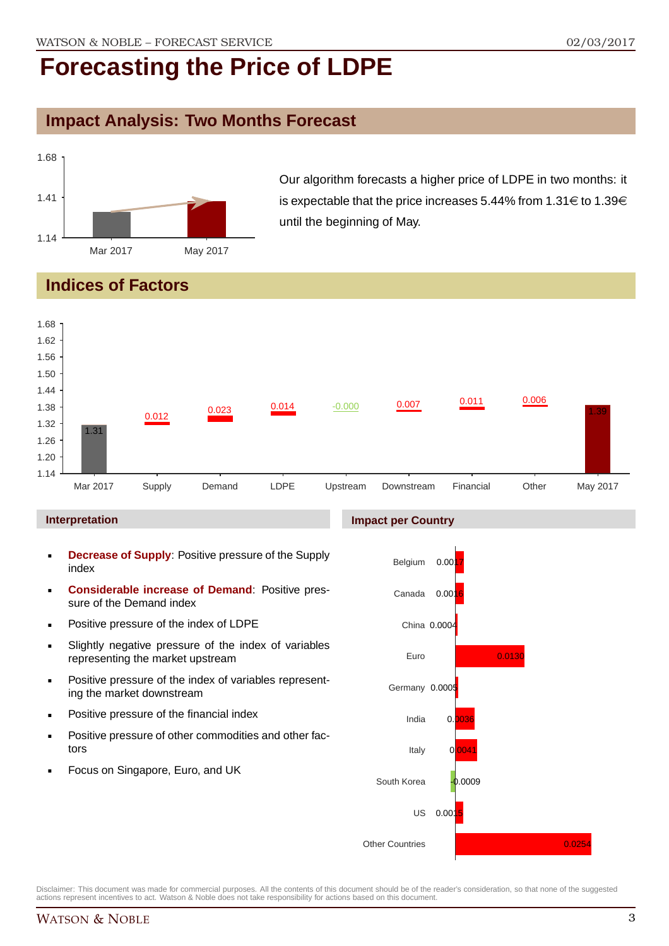## **Impact Analysis: Two Months Forecast**



Our algorithm forecasts a higher price of LDPE in two months: it is expectable that the price increases 5.44% from  $1.31 \text{ } \in$  to  $1.39 \text{ } \in$ until the beginning of May.

## **Indices of Factors**

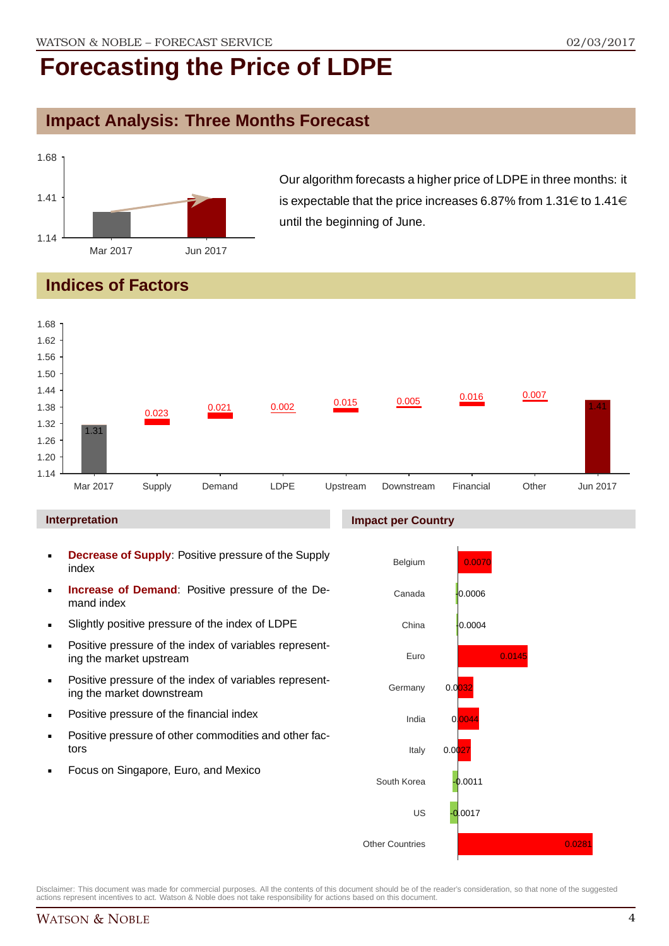## **Impact Analysis: Three Months Forecast**



Our algorithm forecasts a higher price of LDPE in three months: it is expectable that the price increases 6.87% from 1.31 $\in$  to 1.41 $\in$ until the beginning of June.

## **Indices of Factors**



#### **Interpretation**

- **Decrease of Supply**: Positive pressure of the Supply index
- **Increase of Demand**: Positive pressure of the Demand index
- Slightly positive pressure of the index of LDPE
- **Positive pressure of the index of variables represent**ing the market upstream
- **Positive pressure of the index of variables represent**ing the market downstream
- **•** Positive pressure of the financial index
- **Positive pressure of other commodities and other fac**tors
- **Focus on Singapore, Euro, and Mexico**

#### **Impact per Country**

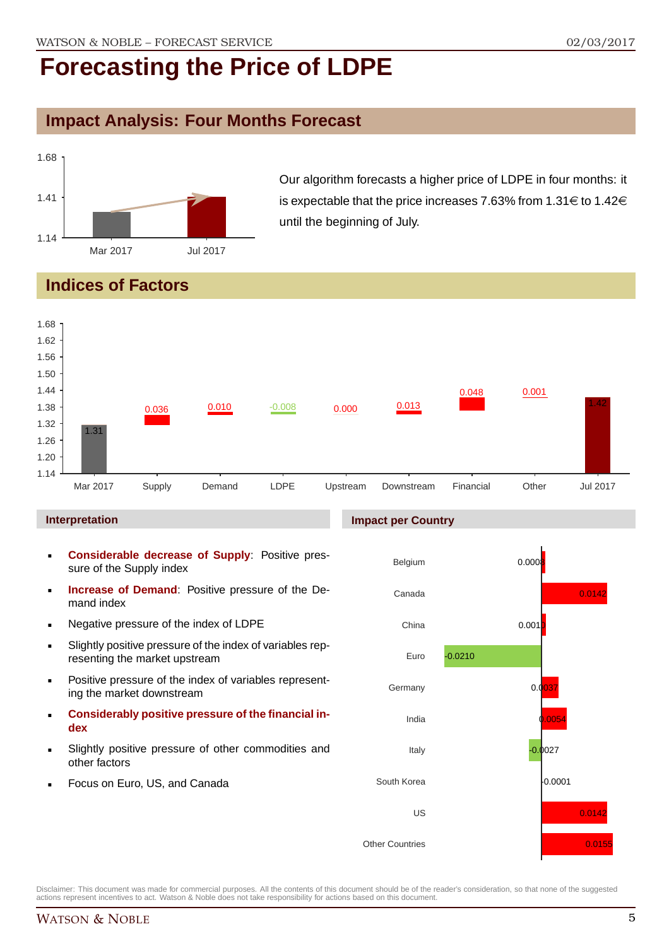## **Impact Analysis: Four Months Forecast**



Our algorithm forecasts a higher price of LDPE in four months: it is expectable that the price increases 7.63% from 1.31 $\in$  to 1.42 $\in$ until the beginning of July.

## **Indices of Factors**



#### **Interpretation**

- **Considerable decrease of Supply**: Positive pressure of the Supply index
- **Increase of Demand**: Positive pressure of the Demand index
- **Negative pressure of the index of LDPE**
- Slightly positive pressure of the index of variables representing the market upstream
- **Positive pressure of the index of variables represent**ing the market downstream
- **Considerably positive pressure of the financial index**
- Slightly positive pressure of other commodities and other factors
- Focus on Euro, US, and Canada

#### **Impact per Country**

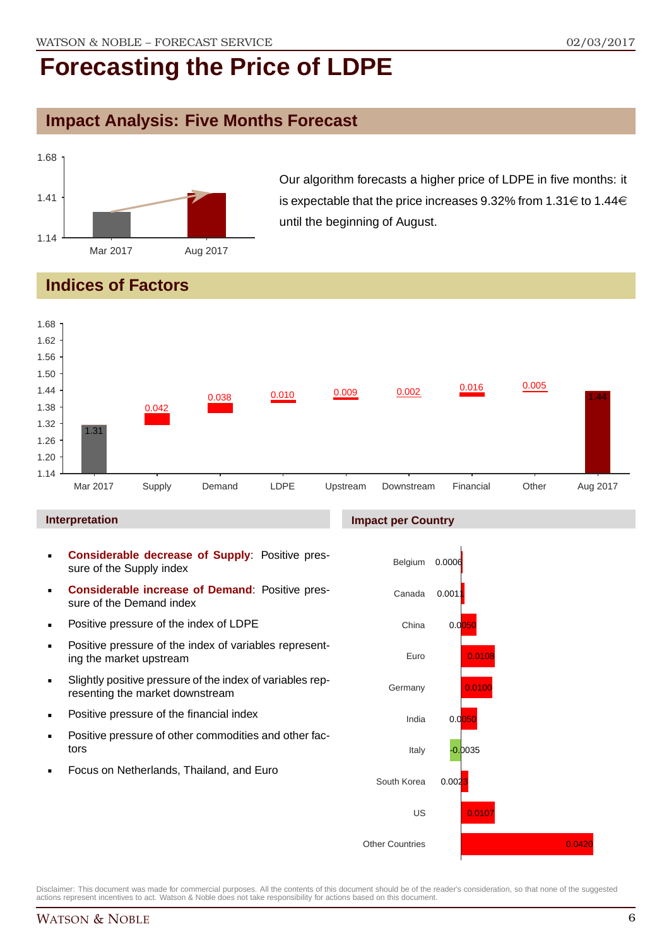## **Impact Analysis: Five Months Forecast**



Our algorithm forecasts a higher price of LDPE in five months: it is expectable that the price increases 9.32% from 1.31 $\in$  to 1.44 $\in$ until the beginning of August.

## **Indices of Factors**



#### **Interpretation**

- **Considerable decrease of Supply**: Positive pressure of the Supply index
- **Considerable increase of Demand**: Positive pressure of the Demand index
- **Positive pressure of the index of LDPE**
- **Positive pressure of the index of variables represent**ing the market upstream
- Slightly positive pressure of the index of variables representing the market downstream
- **•** Positive pressure of the financial index
- **Positive pressure of other commodities and other fac**tors
- Focus on Netherlands, Thailand, and Euro

#### **Impact per Country**

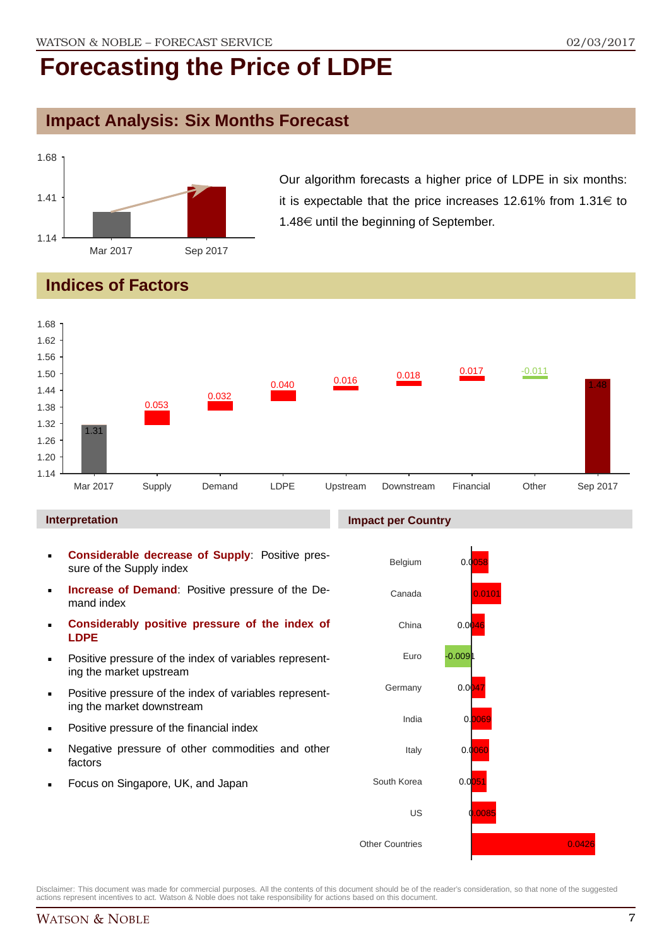### **Impact Analysis: Six Months Forecast**



Our algorithm forecasts a higher price of LDPE in six months: it is expectable that the price increases 12.61% from  $1.31 \in$  to 1.48 $\in$  until the beginning of September.

## **Indices of Factors**



#### **Interpretation**

- **Considerable decrease of Supply**: Positive pressure of the Supply index
- **Increase of Demand**: Positive pressure of the Demand index
- **Considerably positive pressure of the index of LDPE**
- Positive pressure of the index of variables representing the market upstream
- Positive pressure of the index of variables representing the market downstream
- Positive pressure of the financial index
- Negative pressure of other commodities and other factors
- Focus on Singapore, UK, and Japan

#### **Impact per Country**



Disclaimer: This document was made for commercial purposes. All the contents of this document should be of the reader's consideration, so that none of the suggested actions represent incentives to act. Watson & Noble does not take responsibility for actions based on this document.

0.0426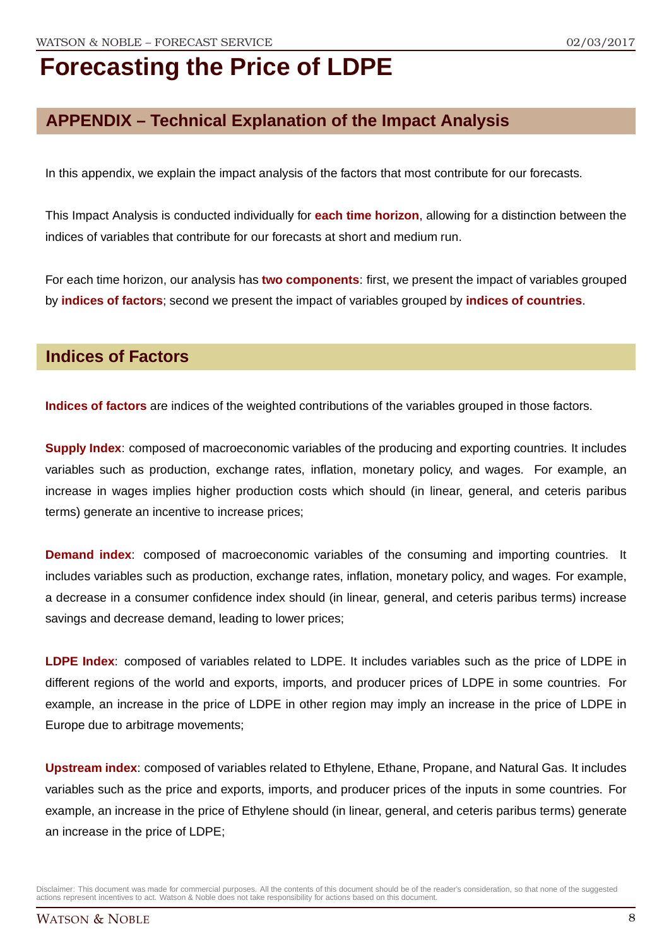## **APPENDIX – Technical Explanation of the Impact Analysis**

In this appendix, we explain the impact analysis of the factors that most contribute for our forecasts.

This Impact Analysis is conducted individually for **each time horizon**, allowing for a distinction between the indices of variables that contribute for our forecasts at short and medium run.

For each time horizon, our analysis has **two components**: first, we present the impact of variables grouped by **indices of factors**; second we present the impact of variables grouped by **indices of countries**.

### **Indices of Factors**

**Indices of factors** are indices of the weighted contributions of the variables grouped in those factors.

**Supply Index**: composed of macroeconomic variables of the producing and exporting countries. It includes variables such as production, exchange rates, inflation, monetary policy, and wages. For example, an increase in wages implies higher production costs which should (in linear, general, and ceteris paribus terms) generate an incentive to increase prices;

**Demand index**: composed of macroeconomic variables of the consuming and importing countries. It includes variables such as production, exchange rates, inflation, monetary policy, and wages. For example, a decrease in a consumer confidence index should (in linear, general, and ceteris paribus terms) increase savings and decrease demand, leading to lower prices;

**LDPE Index**: composed of variables related to LDPE. It includes variables such as the price of LDPE in different regions of the world and exports, imports, and producer prices of LDPE in some countries. For example, an increase in the price of LDPE in other region may imply an increase in the price of LDPE in Europe due to arbitrage movements;

**Upstream index**: composed of variables related to Ethylene, Ethane, Propane, and Natural Gas. It includes variables such as the price and exports, imports, and producer prices of the inputs in some countries. For example, an increase in the price of Ethylene should (in linear, general, and ceteris paribus terms) generate an increase in the price of LDPE;